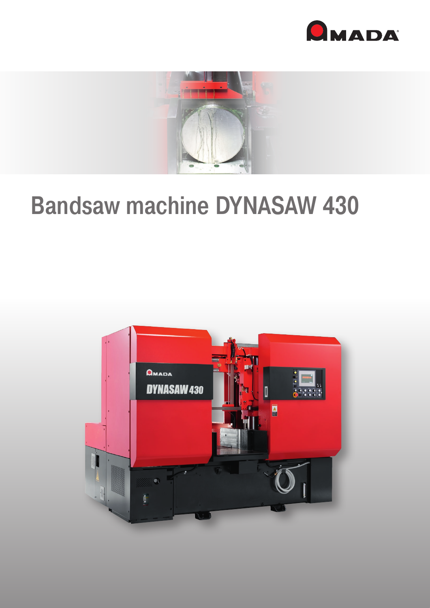



# **Bandsaw machine DYNASAW 430**